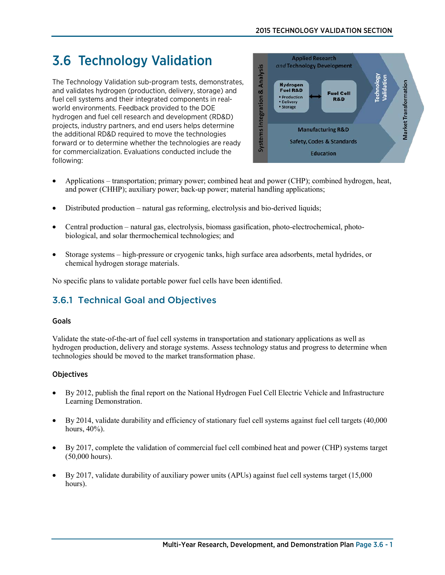# 3.6 Technology Validation

The Technology Validation sub-program tests, demonstrates, and validates hydrogen (production, delivery, storage) and fuel cell systems and their integrated components in realworld environments. Feedback provided to the DOE hydrogen and fuel cell research and development (RD&D) projects, industry partners, and end users helps determine the additional RD&D required to move the technologies forward or to determine whether the technologies are ready for commercialization. Evaluations conducted include the following:



- Applications transportation; primary power; combined heat and power (CHP); combined hydrogen, heat, and power (CHHP); auxiliary power; back-up power; material handling applications;
- Distributed production natural gas reforming, electrolysis and bio-derived liquids;
- Central production natural gas, electrolysis, biomass gasification, photo-electrochemical, photobiological, and solar thermochemical technologies; and
- Storage systems high-pressure or cryogenic tanks, high surface area adsorbents, metal hydrides, or chemical hydrogen storage materials.

No specific plans to validate portable power fuel cells have been identified.

# 3.6.1 Technical Goal and Objectives

#### Goals

Validate the state-of-the-art of fuel cell systems in transportation and stationary applications as well as hydrogen production, delivery and storage systems. Assess technology status and progress to determine when technologies should be moved to the market transformation phase.

### **Objectives**

- By 2012, publish the final report on the National Hydrogen Fuel Cell Electric Vehicle and Infrastructure Learning Demonstration.
- By 2014, validate durability and efficiency of stationary fuel cell systems against fuel cell targets (40,000 hours, 40%).
- By 2017, complete the validation of commercial fuel cell combined heat and power (CHP) systems target (50,000 hours).
- By 2017, validate durability of auxiliary power units (APUs) against fuel cell systems target (15,000 hours).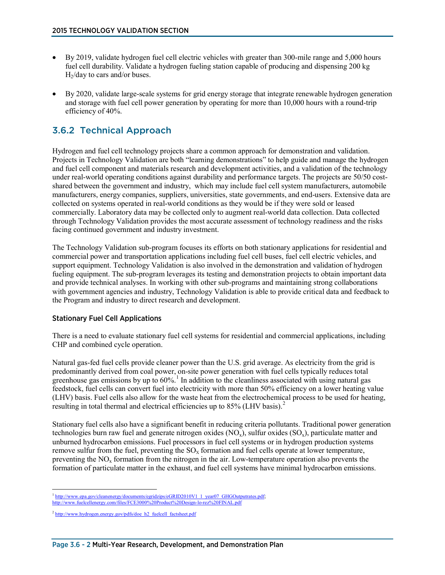- By 2019, validate hydrogen fuel cell electric vehicles with greater than 300-mile range and 5,000 hours fuel cell durability. Validate a hydrogen fueling station capable of producing and dispensing 200 kg  $H<sub>2</sub>/day$  to cars and/or buses.
- By 2020, validate large-scale systems for grid energy storage that integrate renewable hydrogen generation and storage with fuel cell power generation by operating for more than 10,000 hours with a round-trip efficiency of 40%.

# 3.6.2 Technical Approach

Hydrogen and fuel cell technology projects share a common approach for demonstration and validation. Projects in Technology Validation are both "learning demonstrations" to help guide and manage the hydrogen and fuel cell component and materials research and development activities, and a validation of the technology under real-world operating conditions against durability and performance targets. The projects are 50/50 costshared between the government and industry, which may include fuel cell system manufacturers, automobile manufacturers, energy companies, suppliers, universities, state governments, and end-users. Extensive data are collected on systems operated in real-world conditions as they would be if they were sold or leased commercially. Laboratory data may be collected only to augment real-world data collection. Data collected through Technology Validation provides the most accurate assessment of technology readiness and the risks facing continued government and industry investment.

The Technology Validation sub-program focuses its efforts on both stationary applications for residential and commercial power and transportation applications including fuel cell buses, fuel cell electric vehicles, and support equipment. Technology Validation is also involved in the demonstration and validation of hydrogen fueling equipment. The sub-program leverages its testing and demonstration projects to obtain important data and provide technical analyses. In working with other sub-programs and maintaining strong collaborations with government agencies and industry, Technology Validation is able to provide critical data and feedback to the Program and industry to direct research and development.

### Stationary Fuel Cell Applications

There is a need to evaluate stationary fuel cell systems for residential and commercial applications, including CHP and combined cycle operation.

Natural gas-fed fuel cells provide cleaner power than the U.S. grid average. As electricity from the grid is predominantly derived from coal power, on-site power generation with fuel cells typically reduces total greenhouse gas emissions by up to 60%.<sup>[1](#page-1-0)</sup> In addition to the cleanliness associated with using natural gas feedstock, fuel cells can convert fuel into electricity with more than 50% efficiency on a lower heating value (LHV) basis. Fuel cells also allow for the waste heat from the electrochemical process to be used for heating, resulting in total thermal and electrical efficiencies up to 85% (LHV basis).<sup>[2](#page-1-1)</sup>

Stationary fuel cells also have a significant benefit in reducing criteria pollutants. Traditional power generation technologies burn raw fuel and generate nitrogen oxides  $(NO_x)$ , sulfur oxides  $(SO_x)$ , particulate matter and unburned hydrocarbon emissions. Fuel processors in fuel cell systems or in hydrogen production systems remove sulfur from the fuel, preventing the  $SO<sub>x</sub>$  formation and fuel cells operate at lower temperature, preventing the  $NO<sub>x</sub>$  formation from the nitrogen in the air. Low-temperature operation also prevents the formation of particulate matter in the exhaust, and fuel cell systems have minimal hydrocarbon emissions.

<span id="page-1-0"></span><sup>&</sup>lt;sup>1</sup> http://www.epa.gov/cleanenergy/documents/egridzips/eGRID2010V1\_1\_year07\_GHGOutputrates.pdf; <http://www.fuelcellenergy.com/files/FCE3000%20Product%20Design-lo-rez%20FINAL.pdf>

<span id="page-1-1"></span><sup>&</sup>lt;sup>2</sup> [http://www.hydrogen.energy.gov/pdfs/doe\\_h2\\_fuelcell\\_factsheet.pdf](http://www.hydrogen.energy.gov/pdfs/doe_h2_fuelcell_factsheet.pdf)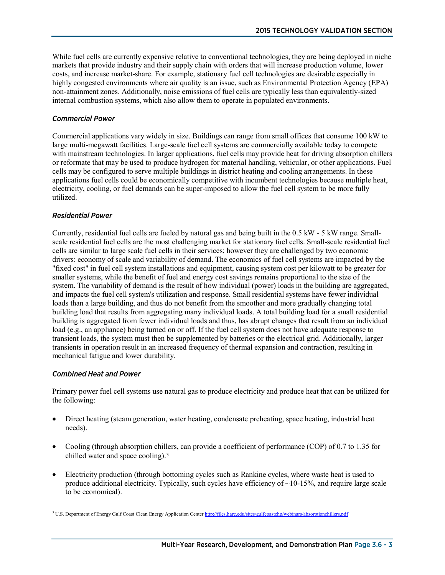While fuel cells are currently expensive relative to conventional technologies, they are being deployed in niche markets that provide industry and their supply chain with orders that will increase production volume, lower costs, and increase market-share. For example, stationary fuel cell technologies are desirable especially in highly congested environments where air quality is an issue, such as Environmental Protection Agency (EPA) non-attainment zones. Additionally, noise emissions of fuel cells are typically less than equivalently-sized internal combustion systems, which also allow them to operate in populated environments.

#### *Commercial Power*

Commercial applications vary widely in size. Buildings can range from small offices that consume 100 kW to large multi-megawatt facilities. Large-scale fuel cell systems are commercially available today to compete with mainstream technologies. In larger applications, fuel cells may provide heat for driving absorption chillers or reformate that may be used to produce hydrogen for material handling, vehicular, or other applications. Fuel cells may be configured to serve multiple buildings in district heating and cooling arrangements. In these applications fuel cells could be economically competitive with incumbent technologies because multiple heat, electricity, cooling, or fuel demands can be super-imposed to allow the fuel cell system to be more fully utilized.

#### *Residential Power*

Currently, residential fuel cells are fueled by natural gas and being built in the 0.5 kW - 5 kW range. Smallscale residential fuel cells are the most challenging market for stationary fuel cells. Small-scale residential fuel cells are similar to large scale fuel cells in their services; however they are challenged by two economic drivers: economy of scale and variability of demand. The economics of fuel cell systems are impacted by the "fixed cost" in fuel cell system installations and equipment, causing system cost per kilowatt to be greater for smaller systems, while the benefit of fuel and energy cost savings remains proportional to the size of the system. The variability of demand is the result of how individual (power) loads in the building are aggregated, and impacts the fuel cell system's utilization and response. Small residential systems have fewer individual loads than a large building, and thus do not benefit from the smoother and more gradually changing total building load that results from aggregating many individual loads. A total building load for a small residential building is aggregated from fewer individual loads and thus, has abrupt changes that result from an individual load (e.g., an appliance) being turned on or off. If the fuel cell system does not have adequate response to transient loads, the system must then be supplemented by batteries or the electrical grid. Additionally, larger transients in operation result in an increased frequency of thermal expansion and contraction, resulting in mechanical fatigue and lower durability.

#### *Combined Heat and Power*

Primary power fuel cell systems use natural gas to produce electricity and produce heat that can be utilized for the following:

- Direct heating (steam generation, water heating, condensate preheating, space heating, industrial heat needs).
- Cooling (through absorption chillers, can provide a coefficient of performance (COP) of 0.7 to 1.35 for chilled water and space cooling).[3](#page-2-0)
- Electricity production (through bottoming cycles such as Rankine cycles, where waste heat is used to produce additional electricity. Typically, such cycles have efficiency of ~10-15%, and require large scale to be economical).

<span id="page-2-0"></span><sup>&</sup>lt;sup>3</sup> U.S. Department of Energy Gulf Coast Clean Energy Application Cente[r http://files.harc.edu/sites/gulfcoastchp/webinars/absorptionchillers.pdf](http://files.harc.edu/sites/gulfcoastchp/webinars/absorptionchillers.pdf)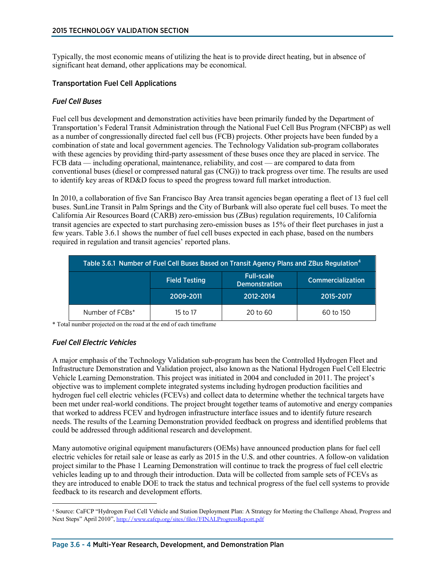Typically, the most economic means of utilizing the heat is to provide direct heating, but in absence of significant heat demand, other applications may be economical.

#### Transportation Fuel Cell Applications

#### *Fuel Cell Buses*

Fuel cell bus development and demonstration activities have been primarily funded by the Department of Transportation's Federal Transit Administration through the National Fuel Cell Bus Program (NFCBP) as well as a number of congressionally directed fuel cell bus (FCB) projects. Other projects have been funded by a combination of state and local government agencies. The Technology Validation sub-program collaborates with these agencies by providing third-party assessment of these buses once they are placed in service. The FCB data — including operational, maintenance, reliability, and cost — are compared to data from conventional buses (diesel or compressed natural gas (CNG)) to track progress over time. The results are used to identify key areas of RD&D focus to speed the progress toward full market introduction.

In 2010, a collaboration of five San Francisco Bay Area transit agencies began operating a fleet of 13 fuel cell buses. SunLine Transit in Palm Springs and the City of Burbank will also operate fuel cell buses. To meet the California Air Resources Board (CARB) zero-emission bus (ZBus) regulation requirements, 10 California transit agencies are expected to start purchasing zero-emission buses as 15% of their fleet purchases in just a few years. Table 3.6.1 shows the number of fuel cell buses expected in each phase, based on the numbers required in regulation and transit agencies' reported plans.

| Table 3.6.1 Number of Fuel Cell Buses Based on Transit Agency Plans and ZBus Regulation <sup>4</sup> |                      |                                           |                          |
|------------------------------------------------------------------------------------------------------|----------------------|-------------------------------------------|--------------------------|
|                                                                                                      | <b>Field Testing</b> | <b>Full-scale</b><br><b>Demonstration</b> | <b>Commercialization</b> |
|                                                                                                      | 2009-2011            | 2012-2014                                 | 2015-2017                |
| Number of FCBs*                                                                                      | 15 to 17             | 20 to 60                                  | 60 to 150                |

\* Total number projected on the road at the end of each timeframe

#### *Fuel Cell Electric Vehicles*

 $\overline{a}$ 

A major emphasis of the Technology Validation sub-program has been the Controlled Hydrogen Fleet and Infrastructure Demonstration and Validation project, also known as the National Hydrogen Fuel Cell Electric Vehicle Learning Demonstration. This project was initiated in 2004 and concluded in 2011. The project's objective was to implement complete integrated systems including hydrogen production facilities and hydrogen fuel cell electric vehicles (FCEVs) and collect data to determine whether the technical targets have been met under real-world conditions. The project brought together teams of automotive and energy companies that worked to address FCEV and hydrogen infrastructure interface issues and to identify future research needs. The results of the Learning Demonstration provided feedback on progress and identified problems that could be addressed through additional research and development.

Many automotive original equipment manufacturers (OEMs) have announced production plans for fuel cell electric vehicles for retail sale or lease as early as 2015 in the U.S. and other countries. A follow-on validation project similar to the Phase 1 Learning Demonstration will continue to track the progress of fuel cell electric vehicles leading up to and through their introduction. Data will be collected from sample sets of FCEVs as they are introduced to enable DOE to track the status and technical progress of the fuel cell systems to provide feedback to its research and development efforts.

<span id="page-3-0"></span><sup>4</sup> Source: CaFCP "Hydrogen Fuel Cell Vehicle and Station Deployment Plan: A Strategy for Meeting the Challenge Ahead, Progress and Next Steps" April 2010", <http://www.cafcp.org/sites/files/FINALProgressReport.pdf>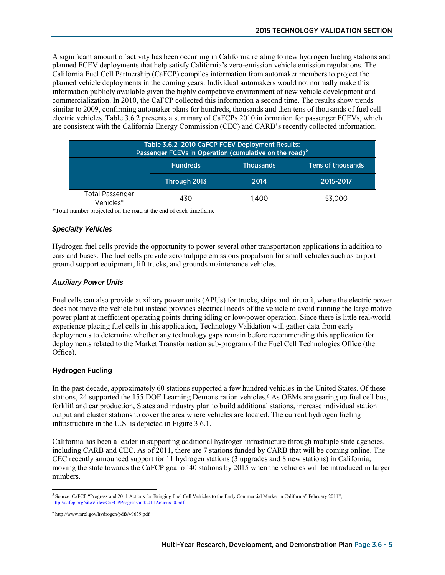A significant amount of activity has been occurring in California relating to new hydrogen fueling stations and planned FCEV deployments that help satisfy California's zero-emission vehicle emission regulations. The California Fuel Cell Partnership (CaFCP) compiles information from automaker members to project the planned vehicle deployments in the coming years. Individual automakers would not normally make this information publicly available given the highly competitive environment of new vehicle development and commercialization. In 2010, the CaFCP collected this information a second time. The results show trends similar to 2009, confirming automaker plans for hundreds, thousands and then tens of thousands of fuel cell electric vehicles. Table 3.6.2 presents a summary of CaFCPs 2010 information for passenger FCEVs, which are consistent with the California Energy Commission (CEC) and CARB's recently collected information.

| Table 3.6.2 2010 CaFCP FCEV Deployment Results:<br>Passenger FCEVs in Operation (cumulative on the road) <sup>5</sup> |                 |                  |                   |
|-----------------------------------------------------------------------------------------------------------------------|-----------------|------------------|-------------------|
|                                                                                                                       | <b>Hundreds</b> | <b>Thousands</b> | Tens of thousands |
|                                                                                                                       | Through 2013    | 2014             | 2015-2017         |
| <b>Total Passenger</b><br>Vehicles*                                                                                   | 430             | 1,400            | 53,000            |

\*Total number projected on the road at the end of each timeframe

#### *Specialty Vehicles*

Hydrogen fuel cells provide the opportunity to power several other transportation applications in addition to cars and buses. The fuel cells provide zero tailpipe emissions propulsion for small vehicles such as airport ground support equipment, lift trucks, and grounds maintenance vehicles.

#### *Auxiliary Power Units*

Fuel cells can also provide auxiliary power units (APUs) for trucks, ships and aircraft, where the electric power does not move the vehicle but instead provides electrical needs of the vehicle to avoid running the large motive power plant at inefficient operating points during idling or low-power operation. Since there is little real-world experience placing fuel cells in this application, Technology Validation will gather data from early deployments to determine whether any technology gaps remain before recommending this application for deployments related to the Market Transformation sub-program of the Fuel Cell Technologies Office (the Office).

#### Hydrogen Fueling

In the past decade, approximately 60 stations supported a few hundred vehicles in the United States. Of these stations, 24 supported the 155 DOE Learning Demonstration vehicles.<sup>[6](#page-4-1)</sup> As OEMs are gearing up fuel cell bus, forklift and car production, States and industry plan to build additional stations, increase individual station output and cluster stations to cover the area where vehicles are located. The current hydrogen fueling infrastructure in the U.S. is depicted in Figure 3.6.1.

California has been a leader in supporting additional hydrogen infrastructure through multiple state agencies, including CARB and CEC. As of 2011, there are 7 stations funded by CARB that will be coming online. The CEC recently announced support for 11 hydrogen stations (3 upgrades and 8 new stations) in California, moving the state towards the CaFCP goal of 40 stations by 2015 when the vehicles will be introduced in larger numbers.

<span id="page-4-0"></span> $\overline{a}$ <sup>5</sup> Source: CaFCP "Progress and 2011 Actions for Bringing Fuel Cell Vehicles to the Early Commercial Market in California" February 2011", [http://cafcp.org/sites/files/CaFCPProgressand2011Actions\\_0.pdf](http://cafcp.org/sites/files/CaFCPProgressand2011Actions_0.pdf) 

<span id="page-4-1"></span><sup>6</sup> http://www.nrel.gov/hydrogen/pdfs/49639.pdf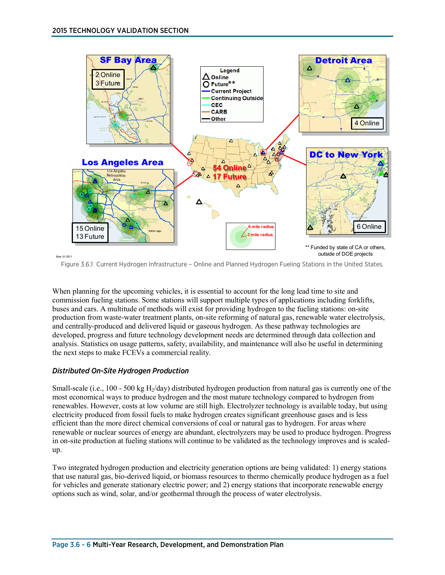

Figure 3.6.1 Current Hydrogen Infrastructure – Online and Planned Hydrogen Fueling Stations in the United States. Mar-31-2011

When planning for the upcoming vehicles, it is essential to account for the long lead time to site and commission fueling stations. Some stations will support multiple types of applications including forklifts, buses and cars. A multitude of methods will exist for providing hydrogen to the fueling stations: on-site production from waste-water treatment plants, on-site reforming of natural gas, renewable water electrolysis, and centrally-produced and delivered liquid or gaseous hydrogen. As these pathway technologies are developed, progress and future technology development needs are determined through data collection and analysis. Statistics on usage patterns, safety, availability, and maintenance will also be useful in determining the next steps to make FCEVs a commercial reality.

### *Distributed On-Site Hydrogen Production*

Small-scale (i.e., 100 - 500 kg H<sub>2</sub>/day) distributed hydrogen production from natural gas is currently one of the most economical ways to produce hydrogen and the most mature technology compared to hydrogen from renewables. However, costs at low volume are still high. Electrolyzer technology is available today, but using electricity produced from fossil fuels to make hydrogen creates significant greenhouse gases and is less efficient than the more direct chemical conversions of coal or natural gas to hydrogen. For areas where renewable or nuclear sources of energy are abundant, electrolyzers may be used to produce hydrogen. Progress in on-site production at fueling stations will continue to be validated as the technology improves and is scaledup.

Two integrated hydrogen production and electricity generation options are being validated: 1) energy stations that use natural gas, bio-derived liquid, or biomass resources to thermo chemically produce hydrogen as a fuel for vehicles and generate stationary electric power; and 2) energy stations that incorporate renewable energy options such as wind, solar, and/or geothermal through the process of water electrolysis.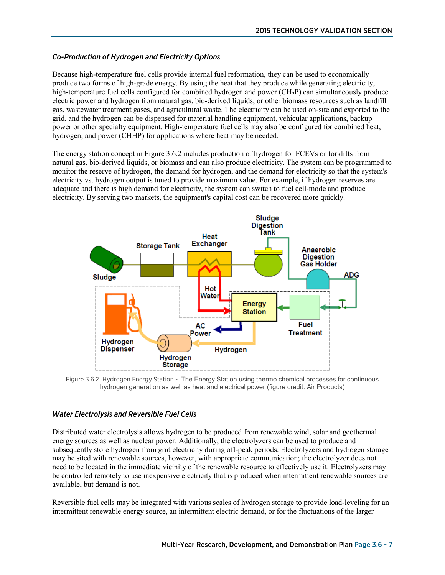### *Co-Production of Hydrogen and Electricity Options*

Because high-temperature fuel cells provide internal fuel reformation, they can be used to economically produce two forms of high-grade energy. By using the heat that they produce while generating electricity, high-temperature fuel cells configured for combined hydrogen and power (CH<sub>2</sub>P) can simultaneously produce electric power and hydrogen from natural gas, bio-derived liquids, or other biomass resources such as landfill gas, wastewater treatment gases, and agricultural waste. The electricity can be used on-site and exported to the grid, and the hydrogen can be dispensed for material handling equipment, vehicular applications, backup power or other specialty equipment. High-temperature fuel cells may also be configured for combined heat, hydrogen, and power (CHHP) for applications where heat may be needed.

The energy station concept in Figure 3.6.2 includes production of hydrogen for FCEVs or forklifts from natural gas, bio-derived liquids, or biomass and can also produce electricity. The system can be programmed to monitor the reserve of hydrogen, the demand for hydrogen, and the demand for electricity so that the system's electricity vs. hydrogen output is tuned to provide maximum value. For example, if hydrogen reserves are adequate and there is high demand for electricity, the system can switch to fuel cell-mode and produce electricity. By serving two markets, the equipment's capital cost can be recovered more quickly.



Figure 3.6.2 Hydrogen Energy Station - The Energy Station using thermo chemical processes for continuous hydrogen generation as well as heat and electrical power (figure credit: Air Products)

#### *Water Electrolysis and Reversible Fuel Cells*

Distributed water electrolysis allows hydrogen to be produced from renewable wind, solar and geothermal energy sources as well as nuclear power. Additionally, the electrolyzers can be used to produce and subsequently store hydrogen from grid electricity during off-peak periods. Electrolyzers and hydrogen storage may be sited with renewable sources, however, with appropriate communication; the electrolyzer does not need to be located in the immediate vicinity of the renewable resource to effectively use it. Electrolyzers may be controlled remotely to use inexpensive electricity that is produced when intermittent renewable sources are available, but demand is not.

Reversible fuel cells may be integrated with various scales of hydrogen storage to provide load-leveling for an intermittent renewable energy source, an intermittent electric demand, or for the fluctuations of the larger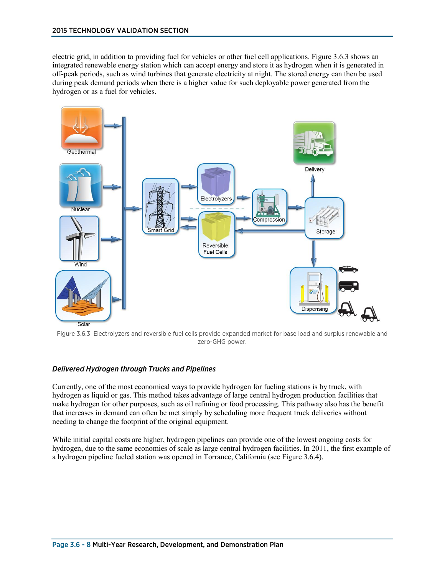electric grid, in addition to providing fuel for vehicles or other fuel cell applications. Figure 3.6.3 shows an integrated renewable energy station which can accept energy and store it as hydrogen when it is generated in off-peak periods, such as wind turbines that generate electricity at night. The stored energy can then be used during peak demand periods when there is a higher value for such deployable power generated from the hydrogen or as a fuel for vehicles.



Figure 3.6.3 Electrolyzers and reversible fuel cells provide expanded market for base load and surplus renewable and zero-GHG power.

### *Delivered Hydrogen through Trucks and Pipelines*

Currently, one of the most economical ways to provide hydrogen for fueling stations is by truck, with hydrogen as liquid or gas. This method takes advantage of large central hydrogen production facilities that make hydrogen for other purposes, such as oil refining or food processing. This pathway also has the benefit that increases in demand can often be met simply by scheduling more frequent truck deliveries without needing to change the footprint of the original equipment.

While initial capital costs are higher, hydrogen pipelines can provide one of the lowest ongoing costs for hydrogen, due to the same economies of scale as large central hydrogen facilities. In 2011, the first example of a hydrogen pipeline fueled station was opened in Torrance, California (see Figure 3.6.4).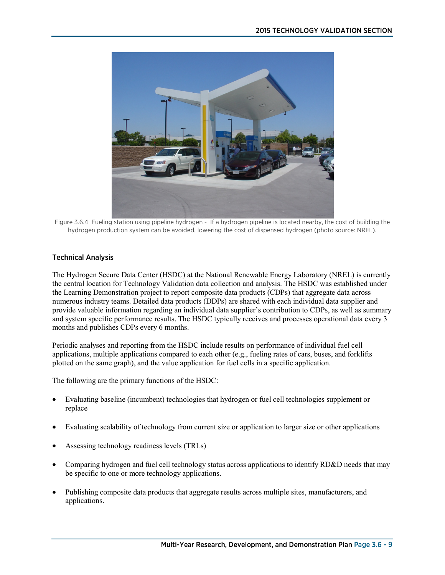

Figure 3.6.4 Fueling station using pipeline hydrogen - If a hydrogen pipeline is located nearby, the cost of building the hydrogen production system can be avoided, lowering the cost of dispensed hydrogen (photo source: NREL).

### Technical Analysis

The Hydrogen Secure Data Center (HSDC) at the National Renewable Energy Laboratory (NREL) is currently the central location for Technology Validation data collection and analysis. The HSDC was established under the Learning Demonstration project to report composite data products (CDPs) that aggregate data across numerous industry teams. Detailed data products (DDPs) are shared with each individual data supplier and provide valuable information regarding an individual data supplier's contribution to CDPs, as well as summary and system specific performance results. The HSDC typically receives and processes operational data every 3 months and publishes CDPs every 6 months.

Periodic analyses and reporting from the HSDC include results on performance of individual fuel cell applications, multiple applications compared to each other (e.g., fueling rates of cars, buses, and forklifts plotted on the same graph), and the value application for fuel cells in a specific application.

The following are the primary functions of the HSDC:

- Evaluating baseline (incumbent) technologies that hydrogen or fuel cell technologies supplement or replace
- Evaluating scalability of technology from current size or application to larger size or other applications
- Assessing technology readiness levels (TRLs)
- Comparing hydrogen and fuel cell technology status across applications to identify RD&D needs that may be specific to one or more technology applications.
- Publishing composite data products that aggregate results across multiple sites, manufacturers, and applications.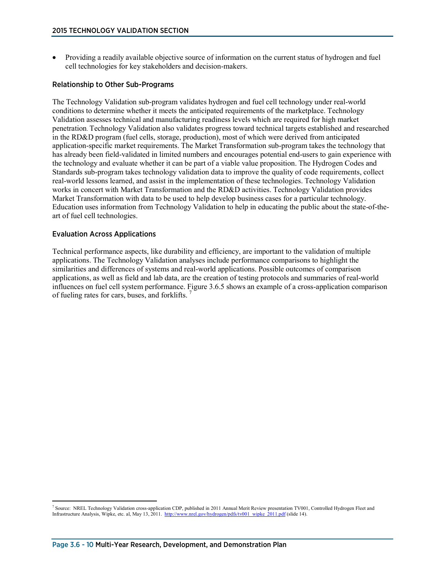• Providing a readily available objective source of information on the current status of hydrogen and fuel cell technologies for key stakeholders and decision-makers.

#### Relationship to Other Sub-Programs

The Technology Validation sub-program validates hydrogen and fuel cell technology under real-world conditions to determine whether it meets the anticipated requirements of the marketplace. Technology Validation assesses technical and manufacturing readiness levels which are required for high market penetration. Technology Validation also validates progress toward technical targets established and researched in the RD&D program (fuel cells, storage, production), most of which were derived from anticipated application-specific market requirements. The Market Transformation sub-program takes the technology that has already been field-validated in limited numbers and encourages potential end-users to gain experience with the technology and evaluate whether it can be part of a viable value proposition. The Hydrogen Codes and Standards sub-program takes technology validation data to improve the quality of code requirements, collect real-world lessons learned, and assist in the implementation of these technologies. Technology Validation works in concert with Market Transformation and the RD&D activities. Technology Validation provides Market Transformation with data to be used to help develop business cases for a particular technology. Education uses information from Technology Validation to help in educating the public about the state-of-theart of fuel cell technologies.

#### Evaluation Across Applications

Technical performance aspects, like durability and efficiency, are important to the validation of multiple applications. The Technology Validation analyses include performance comparisons to highlight the similarities and differences of systems and real-world applications. Possible outcomes of comparison applications, as well as field and lab data, are the creation of testing protocols and summaries of real-world influences on fuel cell system performance. Figure 3.6.5 shows an example of a cross-application comparison of fueling rates for cars, buses, and forklifts. [7](#page-9-0)

<span id="page-9-0"></span> <sup>7</sup> Source: NREL Technology Validation cross-application CDP, published in 2011 Annual Merit Review presentation TV001, Controlled Hydrogen Fleet and Infrastructure Analysis, Wipke, etc. al, May 13, 2011. [http://www.nrel.gov/hydrogen/pdfs/tv001\\_wipke\\_2011.pdf](http://www.nrel.gov/hydrogen/pdfs/tv001_wipke_2011.pdf) (slide 14).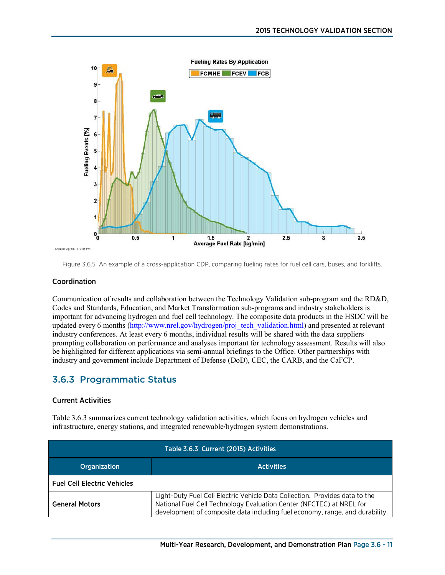

Figure 3.6.5 An example of a cross-application CDP, comparing fueling rates for fuel cell cars, buses, and forklifts.

#### Coordination

Communication of results and collaboration between the Technology Validation sub-program and the RD&D, Codes and Standards, Education, and Market Transformation sub-programs and industry stakeholders is important for advancing hydrogen and fuel cell technology. The composite data products in the HSDC will be updated every 6 months [\(http://www.nrel.gov/hydrogen/proj\\_tech\\_validation.html\)](http://www.nrel.gov/hydrogen/proj_tech_validation.html) and presented at relevant industry conferences. At least every 6 months, individual results will be shared with the data suppliers prompting collaboration on performance and analyses important for technology assessment. Results will also be highlighted for different applications via semi-annual briefings to the Office. Other partnerships with industry and government include Department of Defense (DoD), CEC, the CARB, and the CaFCP.

### 3.6.3 Programmatic Status

#### Current Activities

Table 3.6.3 summarizes current technology validation activities, which focus on hydrogen vehicles and infrastructure, energy stations, and integrated renewable/hydrogen system demonstrations.

| Table 3.6.3 Current (2015) Activities    |                                                                                                                                                                                                                                     |  |
|------------------------------------------|-------------------------------------------------------------------------------------------------------------------------------------------------------------------------------------------------------------------------------------|--|
| <b>Organization</b><br><b>Activities</b> |                                                                                                                                                                                                                                     |  |
| <b>Fuel Cell Electric Vehicles</b>       |                                                                                                                                                                                                                                     |  |
| <b>General Motors</b>                    | Light-Duty Fuel Cell Electric Vehicle Data Collection. Provides data to the<br>National Fuel Cell Technology Evaluation Center (NFCTEC) at NREL for<br>development of composite data including fuel economy, range, and durability. |  |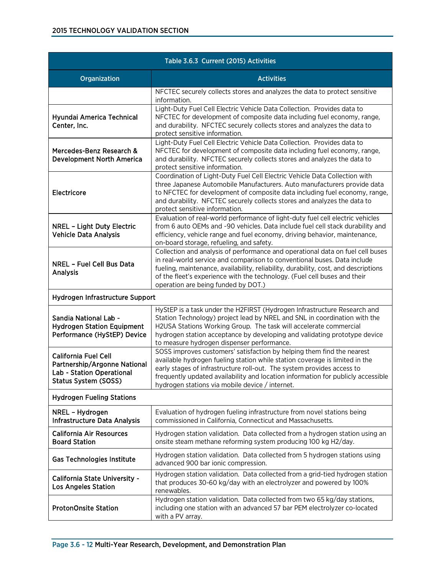| Table 3.6.3 Current (2015) Activities                                                                                   |                                                                                                                                                                                                                                                                                                                                                                        |  |  |
|-------------------------------------------------------------------------------------------------------------------------|------------------------------------------------------------------------------------------------------------------------------------------------------------------------------------------------------------------------------------------------------------------------------------------------------------------------------------------------------------------------|--|--|
| <b>Organization</b>                                                                                                     | <b>Activities</b>                                                                                                                                                                                                                                                                                                                                                      |  |  |
|                                                                                                                         | NFCTEC securely collects stores and analyzes the data to protect sensitive<br>information.                                                                                                                                                                                                                                                                             |  |  |
| Hyundai America Technical<br>Center, Inc.                                                                               | Light-Duty Fuel Cell Electric Vehicle Data Collection. Provides data to<br>NFCTEC for development of composite data including fuel economy, range,<br>and durability. NFCTEC securely collects stores and analyzes the data to<br>protect sensitive information.                                                                                                       |  |  |
| Mercedes-Benz Research &<br><b>Development North America</b>                                                            | Light-Duty Fuel Cell Electric Vehicle Data Collection. Provides data to<br>NFCTEC for development of composite data including fuel economy, range,<br>and durability. NFCTEC securely collects stores and analyzes the data to<br>protect sensitive information.                                                                                                       |  |  |
| Electricore                                                                                                             | Coordination of Light-Duty Fuel Cell Electric Vehicle Data Collection with<br>three Japanese Automobile Manufacturers. Auto manufacturers provide data<br>to NFCTEC for development of composite data including fuel economy, range,<br>and durability. NFCTEC securely collects stores and analyzes the data to<br>protect sensitive information.                     |  |  |
| <b>NREL - Light Duty Electric</b><br><b>Vehicle Data Analysis</b>                                                       | Evaluation of real-world performance of light-duty fuel cell electric vehicles<br>from 6 auto OEMs and ~90 vehicles. Data include fuel cell stack durability and<br>efficiency, vehicle range and fuel economy, driving behavior, maintenance,<br>on-board storage, refueling, and safety.                                                                             |  |  |
| NREL - Fuel Cell Bus Data<br><b>Analysis</b>                                                                            | Collection and analysis of performance and operational data on fuel cell buses<br>in real-world service and comparison to conventional buses. Data include<br>fueling, maintenance, availability, reliability, durability, cost, and descriptions<br>of the fleet's experience with the technology. (Fuel cell buses and their<br>operation are being funded by DOT.)  |  |  |
| Hydrogen Infrastructure Support                                                                                         |                                                                                                                                                                                                                                                                                                                                                                        |  |  |
| Sandia National Lab -<br><b>Hydrogen Station Equipment</b><br>Performance (HyStEP) Device                               | HyStEP is a task under the H2FIRST (Hydrogen Infrastructure Research and<br>Station Technology) project lead by NREL and SNL in coordination with the<br>H2USA Stations Working Group. The task will accelerate commercial<br>hydrogen station acceptance by developing and validating prototype device<br>to measure hydrogen dispenser performance.                  |  |  |
| <b>California Fuel Cell</b><br>Partnership/Argonne National<br>Lab - Station Operational<br><b>Status System (SOSS)</b> | SOSS improves customers' satisfaction by helping them find the nearest<br>available hydrogen fueling station while station coverage is limited in the<br>early stages of infrastructure roll-out. The system provides access to<br>frequently updated availability and location information for publicly accessible<br>hydrogen stations via mobile device / internet. |  |  |
| <b>Hydrogen Fueling Stations</b>                                                                                        |                                                                                                                                                                                                                                                                                                                                                                        |  |  |
| NREL - Hydrogen<br><b>Infrastructure Data Analysis</b>                                                                  | Evaluation of hydrogen fueling infrastructure from novel stations being<br>commissioned in California, Connecticut and Massachusetts.                                                                                                                                                                                                                                  |  |  |
| <b>California Air Resources</b><br><b>Board Station</b>                                                                 | Hydrogen station validation. Data collected from a hydrogen station using an<br>onsite steam methane reforming system producing 100 kg H2/day.                                                                                                                                                                                                                         |  |  |
| Gas Technologies Institute                                                                                              | Hydrogen station validation. Data collected from 5 hydrogen stations using<br>advanced 900 bar ionic compression.                                                                                                                                                                                                                                                      |  |  |
| <b>California State University -</b><br><b>Los Angeles Station</b>                                                      | Hydrogen station validation. Data collected from a grid-tied hydrogen station<br>that produces 30-60 kg/day with an electrolyzer and powered by 100%<br>renewables.                                                                                                                                                                                                    |  |  |
| <b>ProtonOnsite Station</b>                                                                                             | Hydrogen station validation. Data collected from two 65 kg/day stations,<br>including one station with an advanced 57 bar PEM electrolyzer co-located<br>with a PV array.                                                                                                                                                                                              |  |  |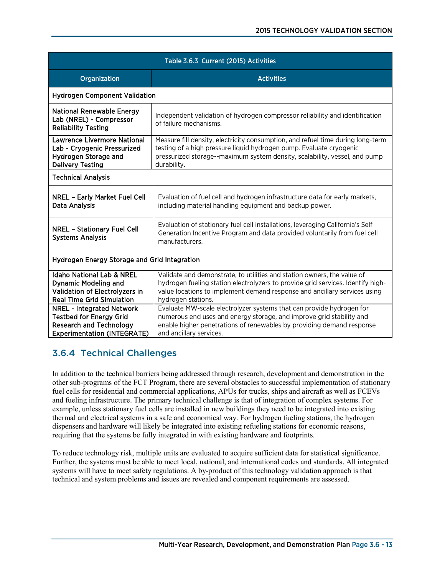| Table 3.6.3 Current (2015) Activities                                                                                                      |                                                                                                                                                                                                                                                               |  |
|--------------------------------------------------------------------------------------------------------------------------------------------|---------------------------------------------------------------------------------------------------------------------------------------------------------------------------------------------------------------------------------------------------------------|--|
| Organization                                                                                                                               | <b>Activities</b>                                                                                                                                                                                                                                             |  |
| <b>Hydrogen Component Validation</b>                                                                                                       |                                                                                                                                                                                                                                                               |  |
| <b>National Renewable Energy</b><br>Lab (NREL) - Compressor<br><b>Reliability Testing</b>                                                  | Independent validation of hydrogen compressor reliability and identification<br>of failure mechanisms.                                                                                                                                                        |  |
| <b>Lawrence Livermore National</b><br>Lab - Cryogenic Pressurized<br>Hydrogen Storage and<br><b>Delivery Testing</b>                       | Measure fill density, electricity consumption, and refuel time during long-term<br>testing of a high pressure liquid hydrogen pump. Evaluate cryogenic<br>pressurized storage--maximum system density, scalability, vessel, and pump<br>durability.           |  |
| <b>Technical Analysis</b>                                                                                                                  |                                                                                                                                                                                                                                                               |  |
| <b>NREL - Early Market Fuel Cell</b><br>Data Analysis                                                                                      | Evaluation of fuel cell and hydrogen infrastructure data for early markets,<br>including material handling equipment and backup power.                                                                                                                        |  |
| <b>NREL - Stationary Fuel Cell</b><br><b>Systems Analysis</b>                                                                              | Evaluation of stationary fuel cell installations, leveraging California's Self<br>Generation Incentive Program and data provided voluntarily from fuel cell<br>manufacturers.                                                                                 |  |
| Hydrogen Energy Storage and Grid Integration                                                                                               |                                                                                                                                                                                                                                                               |  |
| Idaho National Lab & NREL<br><b>Dynamic Modeling and</b><br>Validation of Electrolyzers in<br><b>Real Time Grid Simulation</b>             | Validate and demonstrate, to utilities and station owners, the value of<br>hydrogen fueling station electrolyzers to provide grid services. Identify high-<br>value locations to implement demand response and ancillary services using<br>hydrogen stations. |  |
| <b>NREL - Integrated Network</b><br><b>Testbed for Energy Grid</b><br><b>Research and Technology</b><br><b>Experimentation (INTEGRATE)</b> | Evaluate MW-scale electrolyzer systems that can provide hydrogen for<br>numerous end uses and energy storage, and improve grid stability and<br>enable higher penetrations of renewables by providing demand response<br>and ancillary services.              |  |

# 3.6.4 Technical Challenges

In addition to the technical barriers being addressed through research, development and demonstration in the other sub-programs of the FCT Program, there are several obstacles to successful implementation of stationary fuel cells for residential and commercial applications, APUs for trucks, ships and aircraft as well as FCEVs and fueling infrastructure. The primary technical challenge is that of integration of complex systems. For example, unless stationary fuel cells are installed in new buildings they need to be integrated into existing thermal and electrical systems in a safe and economical way. For hydrogen fueling stations, the hydrogen dispensers and hardware will likely be integrated into existing refueling stations for economic reasons, requiring that the systems be fully integrated in with existing hardware and footprints.

To reduce technology risk, multiple units are evaluated to acquire sufficient data for statistical significance. Further, the systems must be able to meet local, national, and international codes and standards. All integrated systems will have to meet safety regulations. A by-product of this technology validation approach is that technical and system problems and issues are revealed and component requirements are assessed.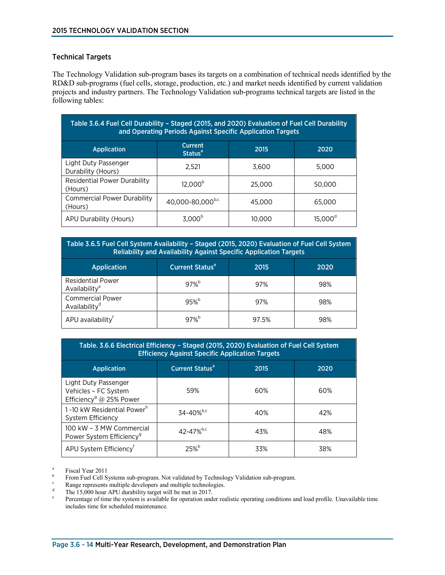#### Technical Targets

The Technology Validation sub-program bases its targets on a combination of technical needs identified by the RD&D sub-programs (fuel cells, storage, production, etc.) and market needs identified by current validation projects and industry partners. The Technology Validation sub-programs technical targets are listed in the following tables:

| Table 3.6.4 Fuel Cell Durability - Staged (2015, and 2020) Evaluation of Fuel Cell Durability<br>and Operating Periods Against Specific Application Targets |                                      |        |                  |
|-------------------------------------------------------------------------------------------------------------------------------------------------------------|--------------------------------------|--------|------------------|
| <b>Application</b>                                                                                                                                          | Current<br><b>Status<sup>a</sup></b> | 2015   | 2020             |
| Light Duty Passenger<br>Durability (Hours)                                                                                                                  | 2.521                                | 3,600  | 5,000            |
| <b>Residential Power Durability</b><br>(Hours)                                                                                                              | $12,000^{\rm b}$                     | 25,000 | 50,000           |
| <b>Commercial Power Durability</b><br>(Hours)                                                                                                               | 40,000-80,000b,c                     | 45,000 | 65,000           |
| APU Durability (Hours)                                                                                                                                      | $3,000^{b}$                          | 10.000 | $15,000^{\rm d}$ |

| Table 3.6.5 Fuel Cell System Availability - Staged (2015, 2020) Evaluation of Fuel Cell System<br><b>Reliability and Availability Against Specific Application Targets</b> |           |       |     |
|----------------------------------------------------------------------------------------------------------------------------------------------------------------------------|-----------|-------|-----|
| <b>Current Status<sup>a</sup></b><br><b>Application</b><br>2020<br>2015                                                                                                    |           |       |     |
| <b>Residential Power</b><br>Availability <sup>e</sup>                                                                                                                      | $97%^{b}$ | 97%   | 98% |
| <b>Commercial Power</b><br>Availability <sup>d</sup>                                                                                                                       | 95%       | 97%   | 98% |
| APU availability <sup>f</sup>                                                                                                                                              | 97%       | 97.5% | 98% |

| Table. 3.6.6 Electrical Efficiency - Staged (2015, 2020) Evaluation of Fuel Cell System<br><b>Efficiency Against Specific Application Targets</b> |                                   |      |      |
|---------------------------------------------------------------------------------------------------------------------------------------------------|-----------------------------------|------|------|
| <b>Application</b>                                                                                                                                | <b>Current Status<sup>a</sup></b> | 2015 | 2020 |
| Light Duty Passenger<br>Vehicles - FC System<br>Efficiency <sup>9</sup> @ 25% Power                                                               | 59%                               | 60%  | 60%  |
| 1-10 kW Residential Power <sup>h</sup><br>System Efficiency                                                                                       | 34-40%b,c                         | 40%  | 42%  |
| 100 kW - 3 MW Commercial<br>Power System Efficiency <sup>9</sup>                                                                                  | 42-47% $b, c$                     | 43%  | 48%  |
| APU System Efficiency <sup>f</sup>                                                                                                                | 25%                               | 33%  | 38%  |

Fiscal Year 2011<br>
From Fuel Cell Systems sub-program. Not validated by Technology Validation sub-program.<br>
Com Fuel Cell Systems sub-program. Not validated by Technologies.<br>
The 15,000 hour APU durability target will be me includes time for scheduled maintenance.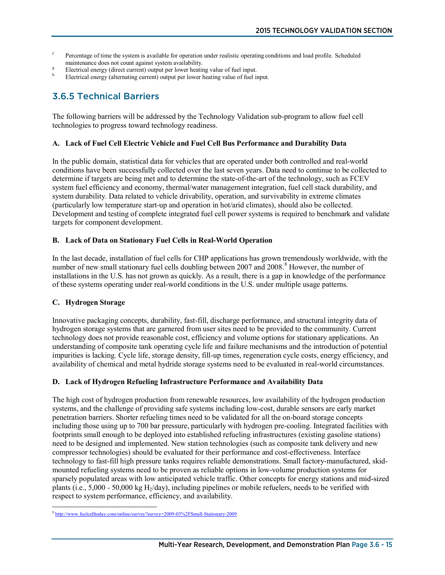- <sup>f</sup> Percentage of time the system is available for operation under realistic operating conditions and load profile. Scheduled
- maintenance does not count against system availability.<br>Electrical energy (direct current) output per lower heating value of fuel input.<br>Electrical energy (alternating current) output per lower heating value of fuel input.
- 

# 3.6.5 Technical Barriers

The following barriers will be addressed by the Technology Validation sub-program to allow fuel cell technologies to progress toward technology readiness.

#### **A. Lack of Fuel Cell Electric Vehicle and Fuel Cell Bus Performance and Durability Data**

In the public domain, statistical data for vehicles that are operated under both controlled and real-world conditions have been successfully collected over the last seven years. Data need to continue to be collected to determine if targets are being met and to determine the state-of-the-art of the technology, such as FCEV system fuel efficiency and economy, thermal/water management integration, fuel cell stack durability, and system durability. Data related to vehicle drivability, operation, and survivability in extreme climates (particularly low temperature start-up and operation in hot/arid climates), should also be collected. Development and testing of complete integrated fuel cell power systems is required to benchmark and validate targets for component development.

#### **B. Lack of Data on Stationary Fuel Cells in Real-World Operation**

In the last decade, installation of fuel cells for CHP applications has grown tremendously worldwide, with the number of new small stationary fuel cells doubling between 2007 and 2008. [8](#page-14-0) However, the number of installations in the U.S. has not grown as quickly. As a result, there is a gap in knowledge of the performance of these systems operating under real-world conditions in the U.S. under multiple usage patterns.

#### **C. Hydrogen Storage**

Innovative packaging concepts, durability, fast-fill, discharge performance, and structural integrity data of hydrogen storage systems that are garnered from user sites need to be provided to the community. Current technology does not provide reasonable cost, efficiency and volume options for stationary applications. An understanding of composite tank operating cycle life and failure mechanisms and the introduction of potential impurities is lacking. Cycle life, storage density, fill-up times, regeneration cycle costs, energy efficiency, and availability of chemical and metal hydride storage systems need to be evaluated in real-world circumstances.

#### **D. Lack of Hydrogen Refueling Infrastructure Performance and Availability Data**

The high cost of hydrogen production from renewable resources, low availability of the hydrogen production systems, and the challenge of providing safe systems including low-cost, durable sensors are early market penetration barriers. Shorter refueling times need to be validated for all the on-board storage concepts including those using up to 700 bar pressure, particularly with hydrogen pre-cooling. Integrated facilities with footprints small enough to be deployed into established refueling infrastructures (existing gasoline stations) need to be designed and implemented. New station technologies (such as composite tank delivery and new compressor technologies) should be evaluated for their performance and cost-effectiveness. Interface technology to fast-fill high pressure tanks requires reliable demonstrations. Small factory-manufactured, skidmounted refueling systems need to be proven as reliable options in low-volume production systems for sparsely populated areas with low anticipated vehicle traffic. Other concepts for energy stations and mid-sized plants (i.e.,  $5,000 - 50,000$  kg H<sub>2</sub>/day), including pipelines or mobile refuelers, needs to be verified with respect to system performance, efficiency, and availability.

<span id="page-14-0"></span> <sup>8</sup> <http://www.fuelcelltoday.com/online/survey?survey=2009-03%2FSmall-Stationary-2009>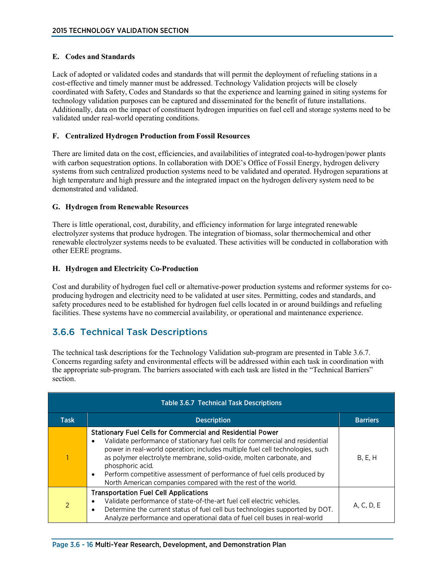#### **E. Codes and Standards**

Lack of adopted or validated codes and standards that will permit the deployment of refueling stations in a cost-effective and timely manner must be addressed. Technology Validation projects will be closely coordinated with Safety, Codes and Standards so that the experience and learning gained in siting systems for technology validation purposes can be captured and disseminated for the benefit of future installations. Additionally, data on the impact of constituent hydrogen impurities on fuel cell and storage systems need to be validated under real-world operating conditions.

#### **F. Centralized Hydrogen Production from Fossil Resources**

There are limited data on the cost, efficiencies, and availabilities of integrated coal-to-hydrogen/power plants with carbon sequestration options. In collaboration with DOE's Office of Fossil Energy, hydrogen delivery systems from such centralized production systems need to be validated and operated. Hydrogen separations at high temperature and high pressure and the integrated impact on the hydrogen delivery system need to be demonstrated and validated.

#### **G. Hydrogen from Renewable Resources**

There is little operational, cost, durability, and efficiency information for large integrated renewable electrolyzer systems that produce hydrogen. The integration of biomass, solar thermochemical and other renewable electrolyzer systems needs to be evaluated. These activities will be conducted in collaboration with other EERE programs.

#### **H. Hydrogen and Electricity Co-Production**

Cost and durability of hydrogen fuel cell or alternative-power production systems and reformer systems for coproducing hydrogen and electricity need to be validated at user sites. Permitting, codes and standards, and safety procedures need to be established for hydrogen fuel cells located in or around buildings and refueling facilities. These systems have no commercial availability, or operational and maintenance experience.

# 3.6.6 Technical Task Descriptions

The technical task descriptions for the Technology Validation sub-program are presented in Table 3.6.7. Concerns regarding safety and environmental effects will be addressed within each task in coordination with the appropriate sub-program. The barriers associated with each task are listed in the "Technical Barriers" section.

| <b>Table 3.6.7 Technical Task Descriptions</b> |                                                                                                                                                                                                                                                                                                                                                                                                                                                                                                     |                 |  |  |
|------------------------------------------------|-----------------------------------------------------------------------------------------------------------------------------------------------------------------------------------------------------------------------------------------------------------------------------------------------------------------------------------------------------------------------------------------------------------------------------------------------------------------------------------------------------|-----------------|--|--|
| <b>Task</b>                                    | <b>Description</b>                                                                                                                                                                                                                                                                                                                                                                                                                                                                                  | <b>Barriers</b> |  |  |
|                                                | <b>Stationary Fuel Cells for Commercial and Residential Power</b><br>Validate performance of stationary fuel cells for commercial and residential<br>$\bullet$<br>power in real-world operation; includes multiple fuel cell technologies, such<br>as polymer electrolyte membrane, solid-oxide, molten carbonate, and<br>phosphoric acid.<br>Perform competitive assessment of performance of fuel cells produced by<br>$\bullet$<br>North American companies compared with the rest of the world. | B, E, H         |  |  |
|                                                | <b>Transportation Fuel Cell Applications</b><br>Validate performance of state-of-the-art fuel cell electric vehicles.<br>Determine the current status of fuel cell bus technologies supported by DOT.<br>$\bullet$<br>Analyze performance and operational data of fuel cell buses in real-world                                                                                                                                                                                                     | A, C, D, E      |  |  |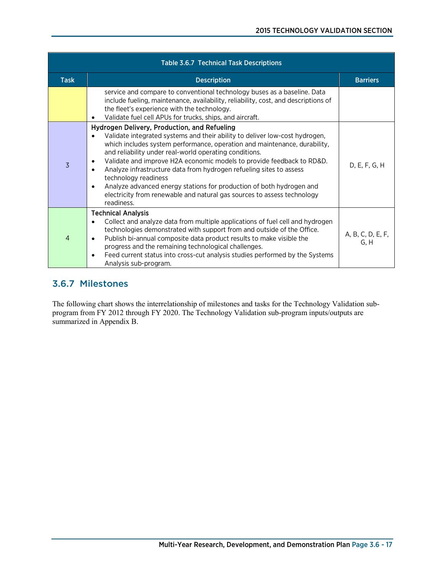| <b>Table 3.6.7 Technical Task Descriptions</b> |                                                                                                                                                                                                                                                                                                                                                                                                                                                                                                                                                                                                                                                    |                           |  |
|------------------------------------------------|----------------------------------------------------------------------------------------------------------------------------------------------------------------------------------------------------------------------------------------------------------------------------------------------------------------------------------------------------------------------------------------------------------------------------------------------------------------------------------------------------------------------------------------------------------------------------------------------------------------------------------------------------|---------------------------|--|
| <b>Task</b>                                    | <b>Description</b>                                                                                                                                                                                                                                                                                                                                                                                                                                                                                                                                                                                                                                 | <b>Barriers</b>           |  |
|                                                | service and compare to conventional technology buses as a baseline. Data<br>include fueling, maintenance, availability, reliability, cost, and descriptions of<br>the fleet's experience with the technology.<br>Validate fuel cell APUs for trucks, ships, and aircraft.                                                                                                                                                                                                                                                                                                                                                                          |                           |  |
| $\overline{3}$                                 | Hydrogen Delivery, Production, and Refueling<br>Validate integrated systems and their ability to deliver low-cost hydrogen,<br>which includes system performance, operation and maintenance, durability,<br>and reliability under real-world operating conditions.<br>Validate and improve H2A economic models to provide feedback to RD&D.<br>$\bullet$<br>Analyze infrastructure data from hydrogen refueling sites to assess<br>$\bullet$<br>technology readiness<br>Analyze advanced energy stations for production of both hydrogen and<br>$\bullet$<br>electricity from renewable and natural gas sources to assess technology<br>readiness. | D, E, F, G, H             |  |
| 4                                              | <b>Technical Analysis</b><br>Collect and analyze data from multiple applications of fuel cell and hydrogen<br>technologies demonstrated with support from and outside of the Office.<br>Publish bi-annual composite data product results to make visible the<br>$\bullet$<br>progress and the remaining technological challenges.<br>Feed current status into cross-cut analysis studies performed by the Systems<br>$\bullet$<br>Analysis sub-program.                                                                                                                                                                                            | A, B, C, D, E, F,<br>G, H |  |

# 3.6.7 Milestones

The following chart shows the interrelationship of milestones and tasks for the Technology Validation subprogram from FY 2012 through FY 2020. The Technology Validation sub-program inputs/outputs are summarized in Appendix B.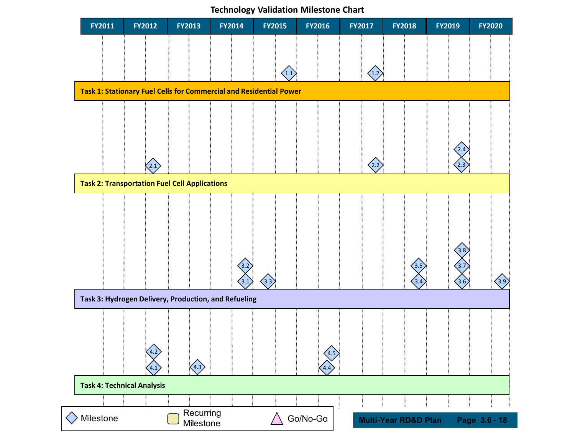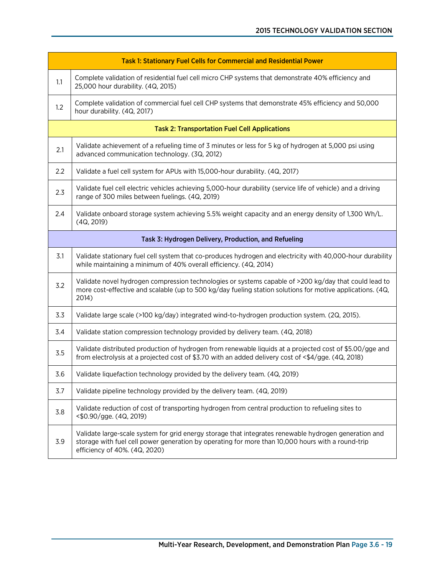|     | <b>Task 1: Stationary Fuel Cells for Commercial and Residential Power</b>                                                                                                                                                                   |
|-----|---------------------------------------------------------------------------------------------------------------------------------------------------------------------------------------------------------------------------------------------|
| 1.1 | Complete validation of residential fuel cell micro CHP systems that demonstrate 40% efficiency and<br>25,000 hour durability. (4Q, 2015)                                                                                                    |
| 1.2 | Complete validation of commercial fuel cell CHP systems that demonstrate 45% efficiency and 50,000<br>hour durability. (4Q, 2017)                                                                                                           |
|     | <b>Task 2: Transportation Fuel Cell Applications</b>                                                                                                                                                                                        |
| 2.1 | Validate achievement of a refueling time of 3 minutes or less for 5 kg of hydrogen at 5,000 psi using<br>advanced communication technology. (3Q, 2012)                                                                                      |
| 2.2 | Validate a fuel cell system for APUs with 15,000-hour durability. (4Q, 2017)                                                                                                                                                                |
| 2.3 | Validate fuel cell electric vehicles achieving 5,000-hour durability (service life of vehicle) and a driving<br>range of 300 miles between fuelings. (4Q, 2019)                                                                             |
| 2.4 | Validate onboard storage system achieving 5.5% weight capacity and an energy density of 1,300 Wh/L.<br>(4Q, 2019)                                                                                                                           |
|     | Task 3: Hydrogen Delivery, Production, and Refueling                                                                                                                                                                                        |
| 3.1 | Validate stationary fuel cell system that co-produces hydrogen and electricity with 40,000-hour durability<br>while maintaining a minimum of 40% overall efficiency. (4Q, 2014)                                                             |
| 3.2 | Validate novel hydrogen compression technologies or systems capable of >200 kg/day that could lead to<br>more cost-effective and scalable (up to 500 kg/day fueling station solutions for motive applications. (4Q,<br>2014)                |
| 3.3 | Validate large scale (>100 kg/day) integrated wind-to-hydrogen production system. (2Q, 2015).                                                                                                                                               |
| 3.4 | Validate station compression technology provided by delivery team. (4Q, 2018)                                                                                                                                                               |
| 3.5 | Validate distributed production of hydrogen from renewable liquids at a projected cost of \$5.00/gge and<br>from electrolysis at a projected cost of \$3.70 with an added delivery cost of <\$4/gge. (4Q, 2018)                             |
| 3.6 | Validate liquefaction technology provided by the delivery team. (4Q, 2019)                                                                                                                                                                  |
| 3.7 | Validate pipeline technology provided by the delivery team. (4Q, 2019)                                                                                                                                                                      |
| 3.8 | Validate reduction of cost of transporting hydrogen from central production to refueling sites to<br><\$0.90/gge. (4Q, 2019)                                                                                                                |
| 3.9 | Validate large-scale system for grid energy storage that integrates renewable hydrogen generation and<br>storage with fuel cell power generation by operating for more than 10,000 hours with a round-trip<br>efficiency of 40%. (4Q, 2020) |